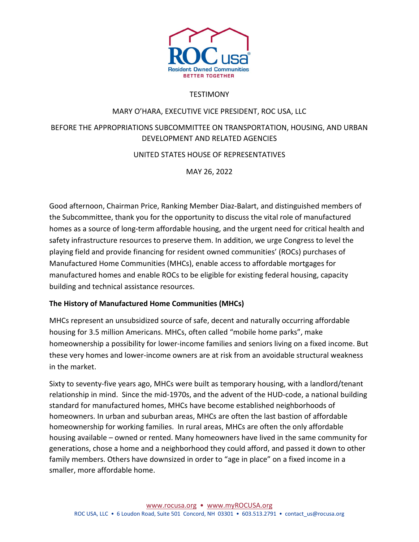

# **TESTIMONY**

## MARY O'HARA, EXECUTIVE VICE PRESIDENT, ROC USA, LLC

# BEFORE THE APPROPRIATIONS SUBCOMMITTEE ON TRANSPORTATION, HOUSING, AND URBAN DEVELOPMENT AND RELATED AGENCIES

# UNITED STATES HOUSE OF REPRESENTATIVES

MAY 26, 2022

Good afternoon, Chairman Price, Ranking Member Diaz-Balart, and distinguished members of the Subcommittee, thank you for the opportunity to discuss the vital role of manufactured homes as a source of long-term affordable housing, and the urgent need for critical health and safety infrastructure resources to preserve them. In addition, we urge Congress to level the playing field and provide financing for resident owned communities' (ROCs) purchases of Manufactured Home Communities (MHCs), enable access to affordable mortgages for manufactured homes and enable ROCs to be eligible for existing federal housing, capacity building and technical assistance resources.

## **The History of Manufactured Home Communities (MHCs)**

MHCs represent an unsubsidized source of safe, decent and naturally occurring affordable housing for 3.5 million Americans. MHCs, often called "mobile home parks", make homeownership a possibility for lower-income families and seniors living on a fixed income. But these very homes and lower-income owners are at risk from an avoidable structural weakness in the market.

Sixty to seventy-five years ago, MHCs were built as temporary housing, with a landlord/tenant relationship in mind. Since the mid-1970s, and the advent of the HUD-code, a national building standard for manufactured homes, MHCs have become established neighborhoods of homeowners. In urban and suburban areas, MHCs are often the last bastion of affordable homeownership for working families. In rural areas, MHCs are often the only affordable housing available – owned or rented. Many homeowners have lived in the same community for generations, chose a home and a neighborhood they could afford, and passed it down to other family members. Others have downsized in order to "age in place" on a fixed income in a smaller, more affordable home.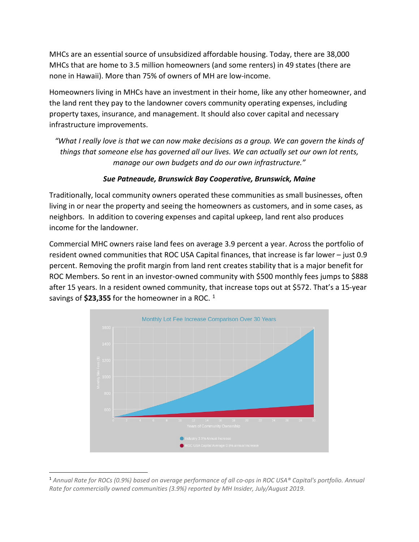MHCs are an essential source of unsubsidized affordable housing. Today, there are 38,000 MHCs that are home to 3.5 million homeowners (and some renters) in 49 states (there are none in Hawaii). More than 75% of owners of MH are low-income.

Homeowners living in MHCs have an investment in their home, like any other homeowner, and the land rent they pay to the landowner covers community operating expenses, including property taxes, insurance, and management. It should also cover capital and necessary infrastructure improvements.

*"What I really love is that we can now make decisions as a group. We can govern the kinds of things that someone else has governed all our lives. We can actually set our own lot rents, manage our own budgets and do our own infrastructure."*

## *Sue Patneaude, Brunswick Bay Cooperative, Brunswick, Maine*

Traditionally, local community owners operated these communities as small businesses, often living in or near the property and seeing the homeowners as customers, and in some cases, as neighbors. In addition to covering expenses and capital upkeep, land rent also produces income for the landowner.

Commercial MHC owners raise land fees on average 3.9 percent a year. Across the portfolio of resident owned communities that ROC USA Capital finances, that increase is far lower – just 0.9 percent. Removing the profit margin from land rent creates stability that is a major benefit for ROC Members. So rent in an investor-owned community with \$500 monthly fees jumps to \$888 after 15 years. In a resident owned community, that increase tops out at \$572. That's a 15-year savings of **\$23,355** for the homeowner in a ROC.<sup>[1](#page-1-0)</sup>



<span id="page-1-0"></span><sup>1</sup> *Annual Rate for ROCs (0.9%) based on average performance of all co-ops in ROC USA® Capital's portfolio. Annual Rate for commercially owned communities (3.9%) reported by MH Insider, July/August 2019.*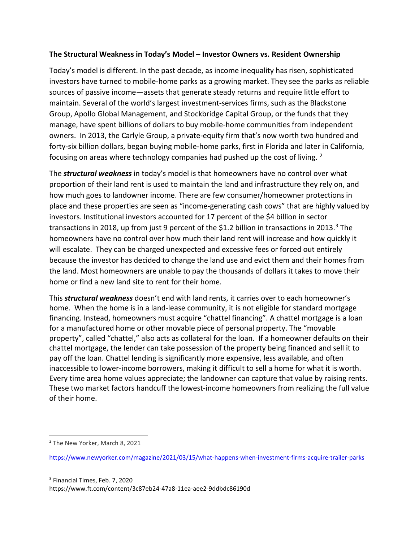#### **The Structural Weakness in Today's Model – Investor Owners vs. Resident Ownership**

Today's model is different. In the past decade, as income inequality has risen, sophisticated investors have turned to mobile-home parks as a growing market. They see the parks as reliable sources of passive income—assets that generate steady returns and require little effort to maintain. Several of the world's largest investment-services firms, such as the Blackstone Group, Apollo Global Management, and Stockbridge Capital Group, or the funds that they manage, have spent billions of dollars to buy mobile-home communities from independent owners. In 2013, the Carlyle Group, a private-equity firm that's now worth two hundred and forty-six billion dollars, began buying mobile-home parks, first in Florida and later in California, focusing on areas where technology companies had pushed up the cost of living. <sup>[2](#page-2-0)</sup>

The *structural weakness* in today's model is that homeowners have no control over what proportion of their land rent is used to maintain the land and infrastructure they rely on, and how much goes to landowner income. There are few consumer/homeowner protections in place and these properties are seen as "income-generating cash cows" that are highly valued by investors. Institutional investors accounted for 17 percent of the \$4 billion in sector transactions in 2018, up from just 9 percent of the \$1.2 billion in transactions in 2013.<sup>3</sup> The homeowners have no control over how much their land rent will increase and how quickly it will escalate. They can be charged unexpected and excessive fees or forced out entirely because the investor has decided to change the land use and evict them and their homes from the land. Most homeowners are unable to pay the thousands of dollars it takes to move their home or find a new land site to rent for their home.

This *structural weakness* doesn't end with land rents, it carries over to each homeowner's home. When the home is in a land-lease community, it is not eligible for standard mortgage financing. Instead, homeowners must acquire "chattel financing". A chattel mortgage is a loan for a manufactured home or other movable piece of personal property. The "movable property", called "chattel," also acts as collateral for the loan. If a homeowner defaults on their chattel mortgage, the lender can take possession of the property being financed and sell it to pay off the loan. Chattel lending is significantly more expensive, less available, and often inaccessible to lower-income borrowers, making it difficult to sell a home for what it is worth. Every time area home values appreciate; the landowner can capture that value by raising rents. These two market factors handcuff the lowest-income homeowners from realizing the full value of their home.

<span id="page-2-0"></span><sup>&</sup>lt;sup>2</sup> The New Yorker, March 8, 2021

<span id="page-2-1"></span>https://www.newyorker.com/magazine/2021/03/15/what-happens-when-investment-firms-acquire-trailer-parks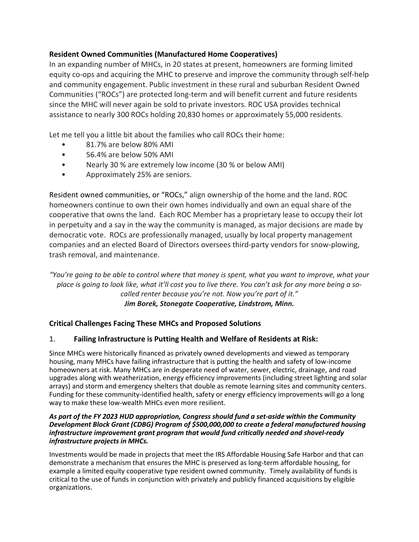## **Resident Owned Communities (Manufactured Home Cooperatives)**

In an expanding number of MHCs, in 20 states at present, homeowners are forming limited equity co-ops and acquiring the MHC to preserve and improve the community through self-help and community engagement. Public investment in these rural and suburban Resident Owned Communities ("ROCs") are protected long-term and will benefit current and future residents since the MHC will never again be sold to private investors. ROC USA provides technical assistance to nearly 300 ROCs holding 20,830 homes or approximately 55,000 residents.

Let me tell you a little bit about the families who call ROCs their home:

- 81.7% are below 80% AMI
- 56.4% are below 50% AMI
- Nearly 30 % are extremely low income (30 % or below AMI)
- Approximately 25% are seniors.

Resident owned communities, or "ROCs," align ownership of the home and the land. ROC homeowners continue to own their own homes individually and own an equal share of the cooperative that owns the land. Each ROC Member has a proprietary lease to occupy their lot in perpetuity and a say in the way the community is managed, as major decisions are made by democratic vote. ROCs are professionally managed, usually by local property management companies and an elected Board of Directors oversees third-party vendors for snow-plowing, trash removal, and maintenance.

*"You're going to be able to control where that money is spent, what you want to improve, what your place is going to look like, what it'll cost you to live there. You can't ask for any more being a socalled renter because you're not. Now you're part of it." Jim Borek, Stonegate Cooperative, Lindstrom, Minn.*

## **Critical Challenges Facing These MHCs and Proposed Solutions**

#### 1. **Failing Infrastructure is Putting Health and Welfare of Residents at Risk:**

Since MHCs were historically financed as privately owned developments and viewed as temporary housing, many MHCs have failing infrastructure that is putting the health and safety of low-income homeowners at risk. Many MHCs are in desperate need of water, sewer, electric, drainage, and road upgrades along with weatherization, energy efficiency improvements (including street lighting and solar arrays) and storm and emergency shelters that double as remote learning sites and community centers. Funding for these community-identified health, safety or energy efficiency improvements will go a long way to make these low-wealth MHCs even more resilient.

#### *As part of the FY 2023 HUD appropriation, Congress should fund a set-aside within the Community Development Block Grant (CDBG) Program of \$500,000,000 to create a federal manufactured housing infrastructure improvement grant program that would fund critically needed and shovel-ready infrastructure projects in MHCs.*

Investments would be made in projects that meet the IRS Affordable Housing Safe Harbor and that can demonstrate a mechanism that ensures the MHC is preserved as long-term affordable housing, for example a limited equity cooperative type resident owned community. Timely availability of funds is critical to the use of funds in conjunction with privately and publicly financed acquisitions by eligible organizations.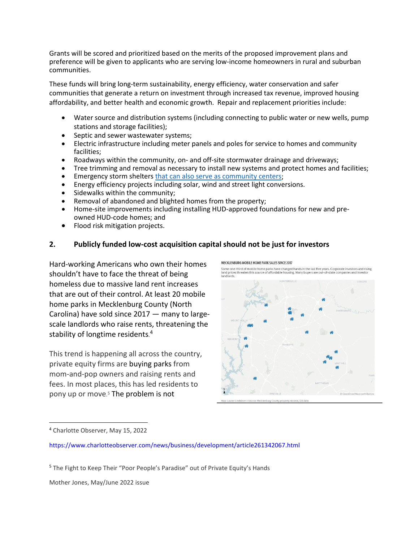Grants will be scored and prioritized based on the merits of the proposed improvement plans and preference will be given to applicants who are serving low-income homeowners in rural and suburban communities.

These funds will bring long-term sustainability, energy efficiency, water conservation and safer communities that generate a return on investment through increased tax revenue, improved housing affordability, and better health and economic growth. Repair and replacement priorities include:

- Water source and distribution systems (including connecting to public water or new wells, pump stations and storage facilities);
- Septic and sewer wastewater systems;
- Electric infrastructure including meter panels and poles for service to homes and community facilities;
- Roadways within the community, on- and off-site stormwater drainage and driveways;
- Tree trimming and removal as necessary to install new systems and protect homes and facilities;
- Emergency storm shelters [that can also serve as community centers;](https://www.youtube.com/watch?v=ZWT5pXD3Cto)
- Energy efficiency projects including solar, wind and street light conversions.
- Sidewalks within the community;
- Removal of abandoned and blighted homes from the property;
- Home-site improvements including installing HUD-approved foundations for new and preowned HUD-code homes; and
- Flood risk mitigation projects.

#### **2. Publicly funded low-cost acquisition capital should not be just for investors**

Hard-working Americans who own their homes shouldn't have to face the threat of being homeless due to massive land rent increases that are out of their control. At least 20 mobile home parks in Mecklenburg County (North Carolina) have sold since 2017 — many to largescale landlords who raise rents, threatening the stability of longtime residents.<sup>[4](#page-4-0)</sup>

This trend is happening all across the country, private equity firms are buying parks from mom-and-pop owners and raising rents and fees. In most places, this has led residents to pony up or move. [5](#page-4-1) The problem is not

MECKLENBURG MOBILE HOME PARK SALES SINCE 2017

Some one-third of mobile home parks have changed hands in the last five years. Corporate investors and rising<br>land prices threaten this source of affordable housing. Many buvers are out-of-state companies and investor landlorde



Mother Jones, May/June 2022 issue

<span id="page-4-0"></span><sup>4</sup> Charlotte Observer, May 15, 2022

https://www.charlotteobserver.com/news/business/development/article261342067.html

<span id="page-4-1"></span><sup>&</sup>lt;sup>5</sup> The Fight to Keep Their "Poor People's Paradise" out of Private Equity's Hands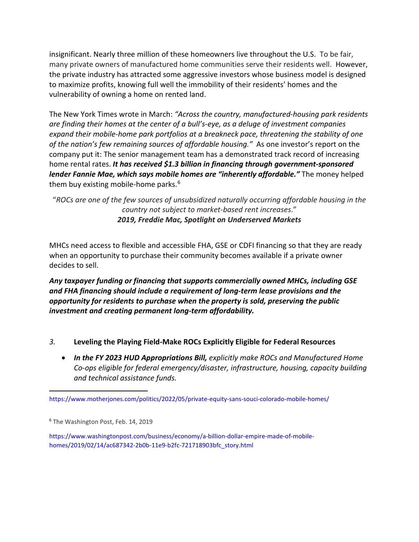insignificant. Nearly three million of these homeowners live throughout the U.S. To be fair, many private owners of manufactured home communities serve their residents well. However, the private industry has attracted some aggressive investors whose business model is designed to maximize profits, knowing full well the immobility of their residents' homes and the vulnerability of owning a home on rented land.

The New York Times wrote in March: *"Across the country, manufactured-housing park residents are finding their homes at the center of a bull's-eye, as a deluge of investment companies expand their mobile-home park portfolios at a breakneck pace, threatening the stability of one of the nation's few remaining sources of affordable housing."* As one investor's report on the company put it: The senior management team has a demonstrated track record of increasing home rental rates. *It has received \$1.3 billion in financing through government-sponsored lender Fannie Mae, which says mobile homes are "inherently affordable."* The money helped them buy existing mobile-home parks. $6$ 

"*ROCs are one of the few sources of unsubsidized naturally occurring affordable housing in the country not subject to market-based rent increases*." *2019, Freddie Mac, Spotlight on Underserved Markets*

MHCs need access to flexible and accessible FHA, GSE or CDFI financing so that they are ready when an opportunity to purchase their community becomes available if a private owner decides to sell.

*Any taxpayer funding or financing that supports commercially owned MHCs, including GSE and FHA financing should include a requirement of long-term lease provisions and the opportunity for residents to purchase when the property is sold, preserving the public investment and creating permanent long-term affordability.* 

- *3.* **Leveling the Playing Field-Make ROCs Explicitly Eligible for Federal Resources**
	- *In the FY 2023 HUD Appropriations Bill, explicitly make ROCs and Manufactured Home Co-ops eligible for federal emergency/disaster, infrastructure, housing, capacity building and technical assistance funds.*

https://www.motherjones.com/politics/2022/05/private-equity-sans-souci-colorado-mobile-homes/

<span id="page-5-0"></span><sup>6</sup> The Washington Post, Feb. 14, 2019

https://www.washingtonpost.com/business/economy/a-billion-dollar-empire-made-of-mobilehomes/2019/02/14/ac687342-2b0b-11e9-b2fc-721718903bfc\_story.html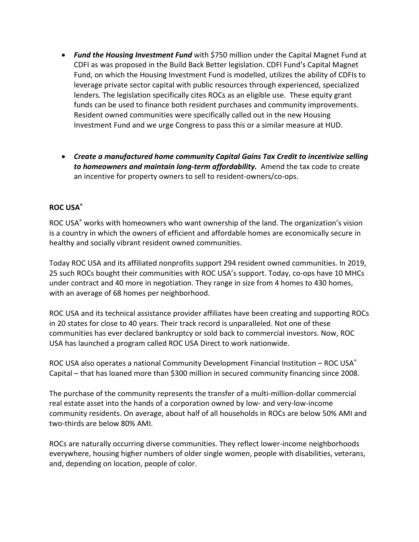- *Fund the Housing Investment Fund* with \$750 million under the Capital Magnet Fund at CDFI as was proposed in the Build Back Better legislation. CDFI Fund's Capital Magnet Fund, on which the Housing Investment Fund is modelled, utilizes the ability of CDFIs to leverage private sector capital with public resources through experienced, specialized lenders. The legislation specifically cites ROCs as an eligible use. These equity grant funds can be used to finance both resident purchases and community improvements. Resident owned communities were specifically called out in the new Housing Investment Fund and we urge Congress to pass this or a similar measure at HUD.
- *Create a manufactured home community Capital Gains Tax Credit to incentivize selling to homeowners and maintain long-term affordability.* Amend the tax code to create an incentive for property owners to sell to resident-owners/co-ops.

## **ROC USA®**

ROC USA® works with homeowners who want ownership of the land. The organization's vision is a country in which the owners of efficient and affordable homes are economically secure in healthy and socially vibrant resident owned communities.

Today ROC USA and its affiliated nonprofits support 294 resident owned communities. In 2019, 25 such ROCs bought their communities with ROC USA's support. Today, co-ops have 10 MHCs under contract and 40 more in negotiation. They range in size from 4 homes to 430 homes, with an average of 68 homes per neighborhood.

ROC USA and its technical assistance provider affiliates have been creating and supporting ROCs in 20 states for close to 40 years. Their track record is unparalleled. Not one of these communities has ever declared bankruptcy or sold back to commercial investors. Now, ROC USA has launched a program called ROC USA Direct to work nationwide.

ROC USA also operates a national Community Development Financial Institution – ROC USA® Capital – that has loaned more than \$300 million in secured community financing since 2008.

The purchase of the community represents the transfer of a multi-million-dollar commercial real estate asset into the hands of a corporation owned by low- and very-low-income community residents. On average, about half of all households in ROCs are below 50% AMI and two-thirds are below 80% AMI.

ROCs are naturally occurring diverse communities. They reflect lower-income neighborhoods everywhere, housing higher numbers of older single women, people with disabilities, veterans, and, depending on location, people of color.